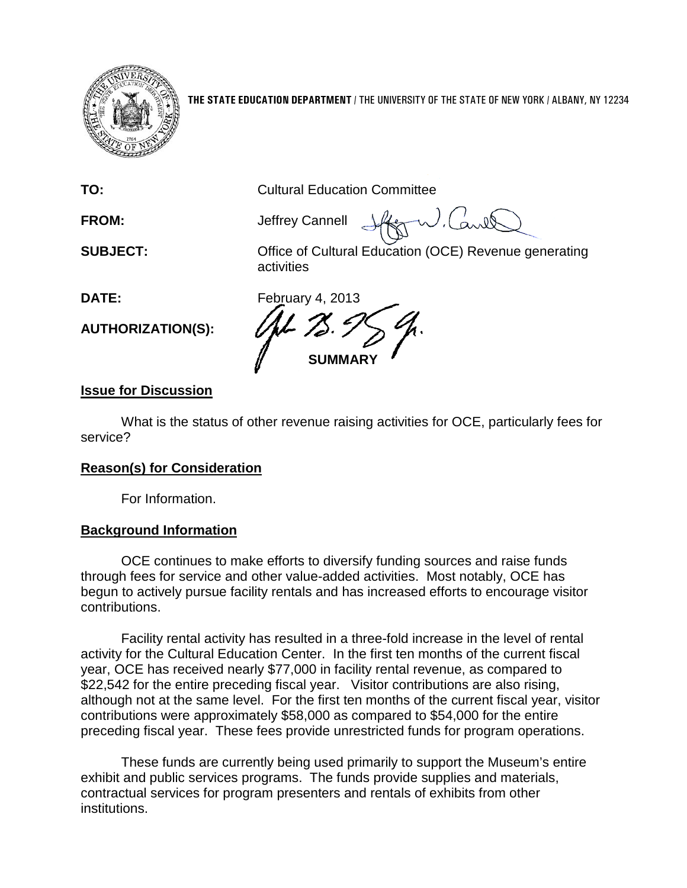

**THE STATE EDUCATION DEPARTMENT** / THE UNIVERSITY OF THE STATE OF NEW YORK / ALBANY, NY 12234

**TO:** Cultural Education Committee

**FROM:** Jeffrey Cannell

**SUBJECT:** Office of Cultural Education (OCE) Revenue generating activities

**AUTHORIZATION(S):**

**DATE:** February 4, 2013 **SUMMARY**

## **Issue for Discussion**

What is the status of other revenue raising activities for OCE, particularly fees for service?

## **Reason(s) for Consideration**

For Information.

## **Background Information**

OCE continues to make efforts to diversify funding sources and raise funds through fees for service and other value-added activities. Most notably, OCE has begun to actively pursue facility rentals and has increased efforts to encourage visitor contributions.

Facility rental activity has resulted in a three-fold increase in the level of rental activity for the Cultural Education Center. In the first ten months of the current fiscal year, OCE has received nearly \$77,000 in facility rental revenue, as compared to \$22,542 for the entire preceding fiscal year. Visitor contributions are also rising, although not at the same level. For the first ten months of the current fiscal year, visitor contributions were approximately \$58,000 as compared to \$54,000 for the entire preceding fiscal year. These fees provide unrestricted funds for program operations.

These funds are currently being used primarily to support the Museum's entire exhibit and public services programs. The funds provide supplies and materials, contractual services for program presenters and rentals of exhibits from other institutions.